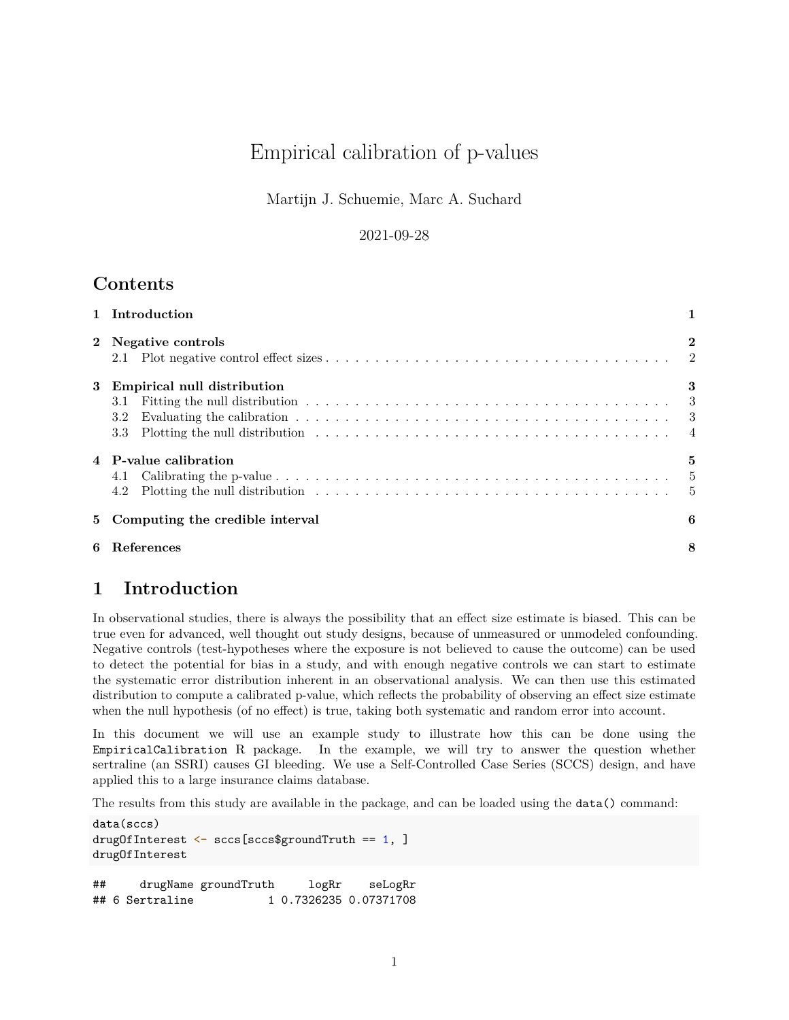# Empirical calibration of p-values

Martijn J. Schuemie, Marc A. Suchard

#### 2021-09-28

## **Contents**

|   | 1 Introduction                                                                                                                                                                                                                                                                        |          |  |  |  |  |
|---|---------------------------------------------------------------------------------------------------------------------------------------------------------------------------------------------------------------------------------------------------------------------------------------|----------|--|--|--|--|
|   | 2 Negative controls                                                                                                                                                                                                                                                                   | $\bf{2}$ |  |  |  |  |
| 3 | Empirical null distribution<br>3.1<br>Evaluating the calibration $\ldots \ldots \ldots \ldots \ldots \ldots \ldots \ldots \ldots \ldots \ldots$<br>3.2<br>Plotting the null distribution $\ldots \ldots \ldots \ldots \ldots \ldots \ldots \ldots \ldots \ldots \ldots \ldots$<br>3.3 | 3        |  |  |  |  |
|   | 4 P-value calibration<br>4.1<br>4.2                                                                                                                                                                                                                                                   | 5        |  |  |  |  |
|   | 5 Computing the credible interval<br>6                                                                                                                                                                                                                                                |          |  |  |  |  |
| 6 | References                                                                                                                                                                                                                                                                            |          |  |  |  |  |

## <span id="page-0-0"></span>**1 Introduction**

In observational studies, there is always the possibility that an effect size estimate is biased. This can be true even for advanced, well thought out study designs, because of unmeasured or unmodeled confounding. Negative controls (test-hypotheses where the exposure is not believed to cause the outcome) can be used to detect the potential for bias in a study, and with enough negative controls we can start to estimate the systematic error distribution inherent in an observational analysis. We can then use this estimated distribution to compute a calibrated p-value, which reflects the probability of observing an effect size estimate when the null hypothesis (of no effect) is true, taking both systematic and random error into account.

In this document we will use an example study to illustrate how this can be done using the EmpiricalCalibration R package. In the example, we will try to answer the question whether sertraline (an SSRI) causes GI bleeding. We use a Self-Controlled Case Series (SCCS) design, and have applied this to a large insurance claims database.

The results from this study are available in the package, and can be loaded using the data() command:

```
data(sccs)
drugOfInterest <- sccs[sccs$groundTruth == 1, ]
drugOfInterest
## drugName groundTruth logRr seLogRr
## 6 Sertraline 1 0.7326235 0.07371708
```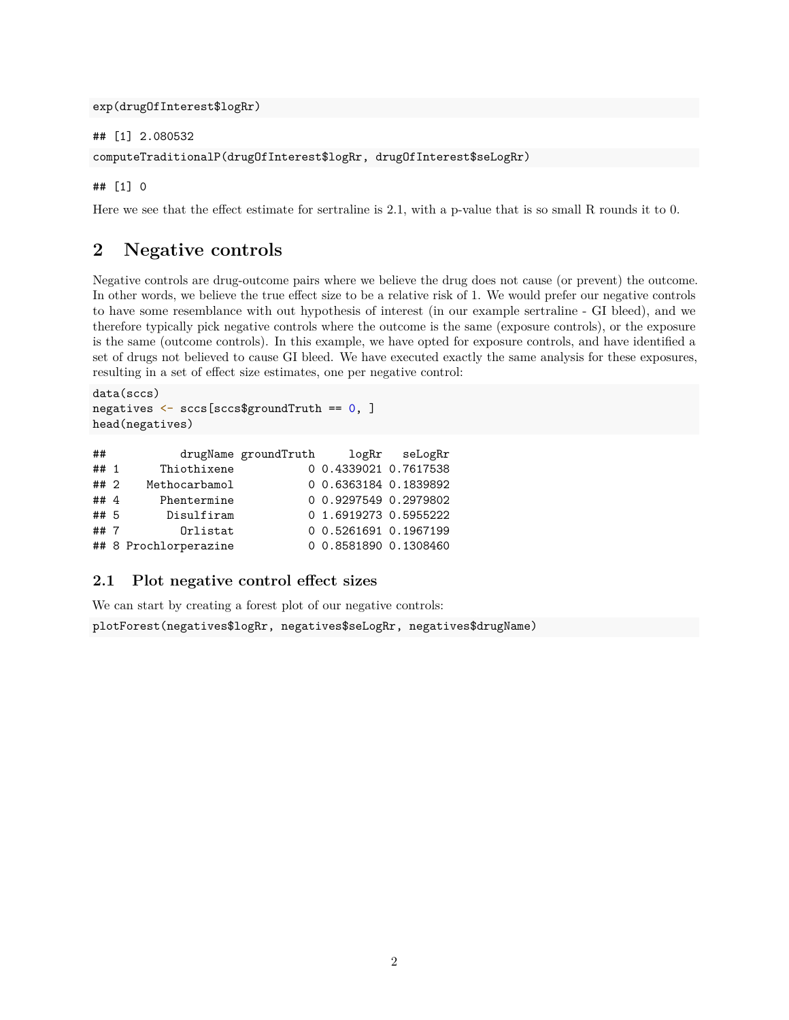exp(drugOfInterest\$logRr)

## [1] 2.080532

```
computeTraditionalP(drugOfInterest$logRr, drugOfInterest$seLogRr)
```
## [1] 0

Here we see that the effect estimate for sertraline is 2.1, with a p-value that is so small R rounds it to 0.

## <span id="page-1-0"></span>**2 Negative controls**

Negative controls are drug-outcome pairs where we believe the drug does not cause (or prevent) the outcome. In other words, we believe the true effect size to be a relative risk of 1. We would prefer our negative controls to have some resemblance with out hypothesis of interest (in our example sertraline - GI bleed), and we therefore typically pick negative controls where the outcome is the same (exposure controls), or the exposure is the same (outcome controls). In this example, we have opted for exposure controls, and have identified a set of drugs not believed to cause GI bleed. We have executed exactly the same analysis for these exposures, resulting in a set of effect size estimates, one per negative control:

```
data(sccs)
negatives <- sccs[sccs$groundTruth == 0, ]
head(negatives)
```

| ##     |                       | drugName groundTruth |                       | logRr seLogRr |
|--------|-----------------------|----------------------|-----------------------|---------------|
| ## 1   | Thiothixene           |                      | 0 0.4339021 0.7617538 |               |
| ## 2   | Methocarbamol         |                      | 0 0.6363184 0.1839892 |               |
| ## $4$ | Phentermine           |                      | 0 0.9297549 0.2979802 |               |
| ## 5   | Disulfiram            |                      | 0 1.6919273 0.5955222 |               |
| ##7    | Orlistat              |                      | 0 0.5261691 0.1967199 |               |
|        | ## 8 Prochlorperazine |                      | 0 0.8581890 0.1308460 |               |

#### <span id="page-1-1"></span>**2.1 Plot negative control effect sizes**

We can start by creating a forest plot of our negative controls:

plotForest(negatives\$logRr, negatives\$seLogRr, negatives\$drugName)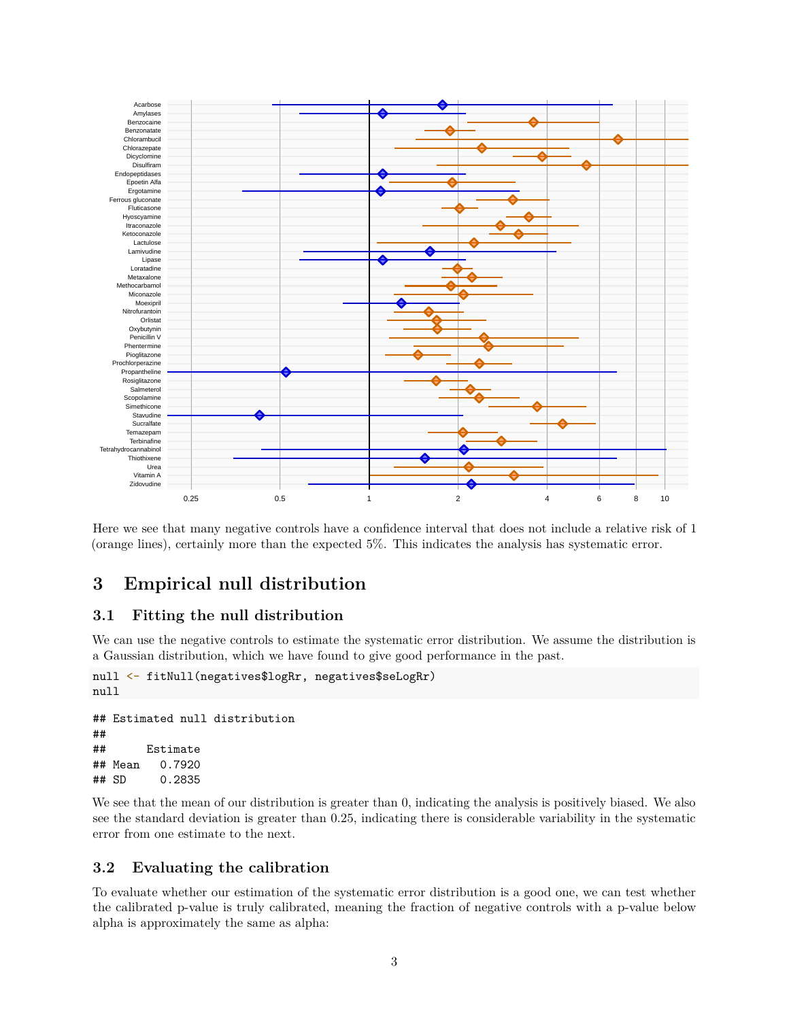

Here we see that many negative controls have a confidence interval that does not include a relative risk of 1 (orange lines), certainly more than the expected 5%. This indicates the analysis has systematic error.

## <span id="page-2-0"></span>**3 Empirical null distribution**

#### <span id="page-2-1"></span>**3.1 Fitting the null distribution**

We can use the negative controls to estimate the systematic error distribution. We assume the distribution is a Gaussian distribution, which we have found to give good performance in the past.

```
null <- fitNull(negatives$logRr, negatives$seLogRr)
null
## Estimated null distribution
```

```
##
## Estimate
## Mean 0.7920
## SD 0.2835
```
We see that the mean of our distribution is greater than 0, indicating the analysis is positively biased. We also see the standard deviation is greater than 0.25, indicating there is considerable variability in the systematic error from one estimate to the next.

#### <span id="page-2-2"></span>**3.2 Evaluating the calibration**

To evaluate whether our estimation of the systematic error distribution is a good one, we can test whether the calibrated p-value is truly calibrated, meaning the fraction of negative controls with a p-value below alpha is approximately the same as alpha: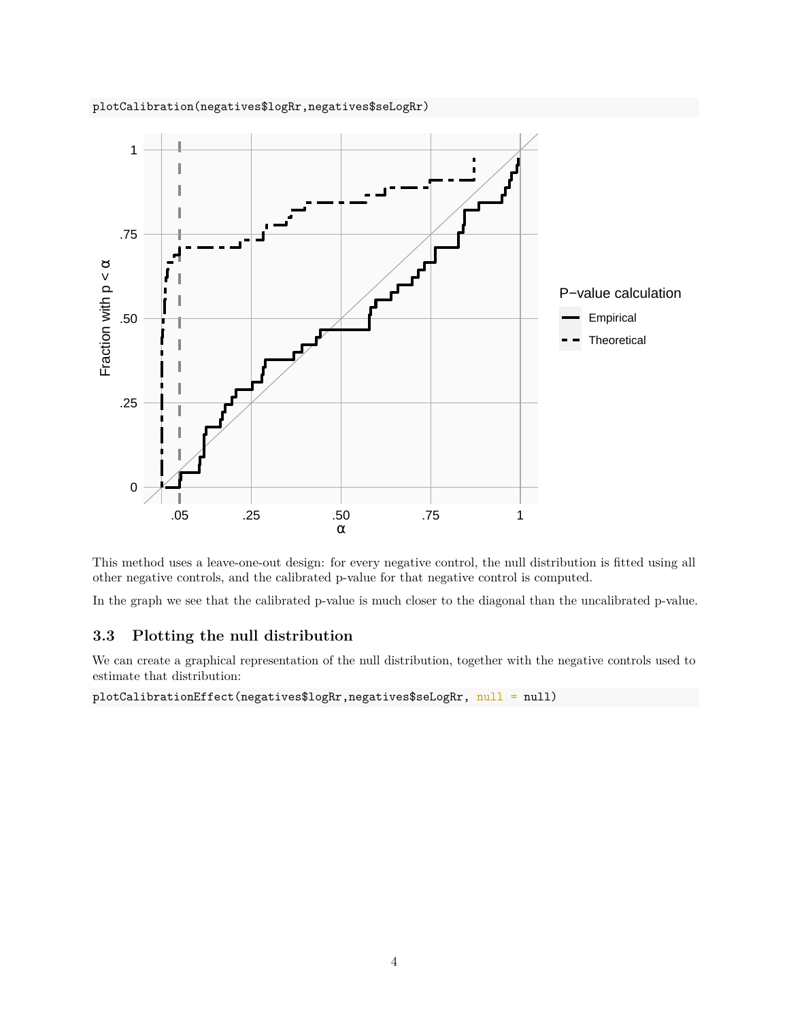



This method uses a leave-one-out design: for every negative control, the null distribution is fitted using all other negative controls, and the calibrated p-value for that negative control is computed.

In the graph we see that the calibrated p-value is much closer to the diagonal than the uncalibrated p-value.

#### <span id="page-3-0"></span>**3.3 Plotting the null distribution**

We can create a graphical representation of the null distribution, together with the negative controls used to estimate that distribution:

plotCalibrationEffect(negatives\$logRr,negatives\$seLogRr, null = null)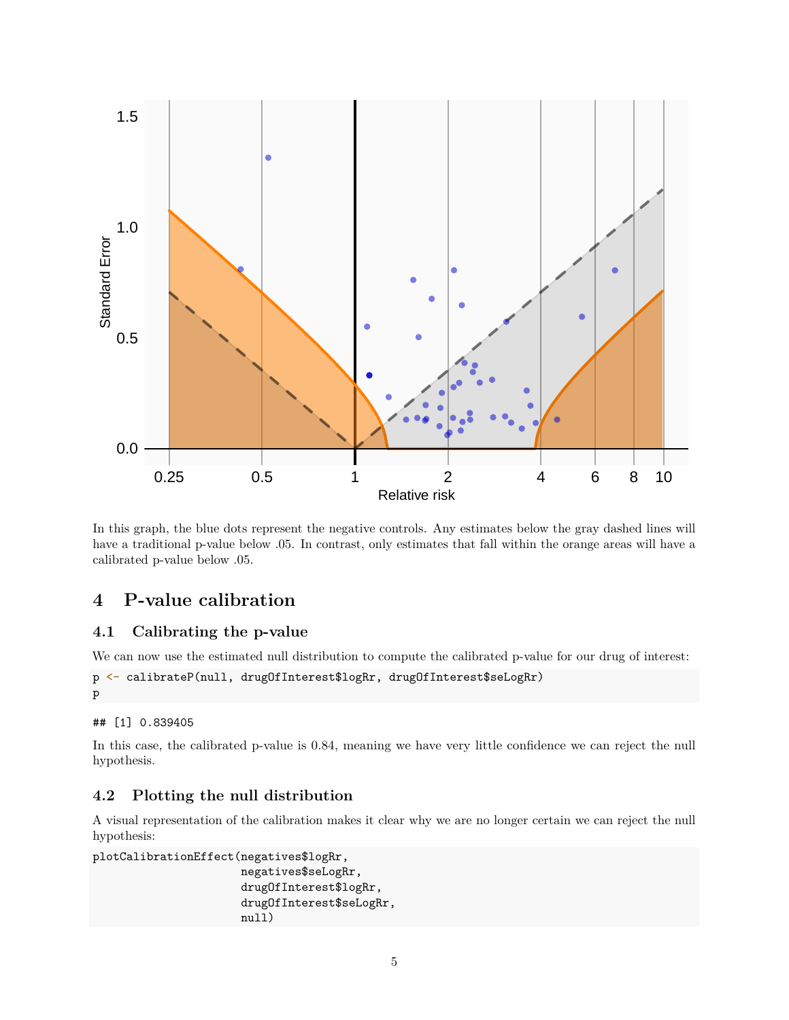

In this graph, the blue dots represent the negative controls. Any estimates below the gray dashed lines will have a traditional p-value below .05. In contrast, only estimates that fall within the orange areas will have a calibrated p-value below .05.

# <span id="page-4-0"></span>**4 P-value calibration**

#### <span id="page-4-1"></span>**4.1 Calibrating the p-value**

We can now use the estimated null distribution to compute the calibrated p-value for our drug of interest:

```
p <- calibrateP(null, drugOfInterest$logRr, drugOfInterest$seLogRr)
p
```

```
## [1] 0.839405
```
In this case, the calibrated p-value is 0.84, meaning we have very little confidence we can reject the null hypothesis.

#### <span id="page-4-2"></span>**4.2 Plotting the null distribution**

A visual representation of the calibration makes it clear why we are no longer certain we can reject the null hypothesis:

```
plotCalibrationEffect(negatives$logRr,
                      negatives$seLogRr,
                      drugOfInterest$logRr,
                      drugOfInterest$seLogRr,
                      null)
```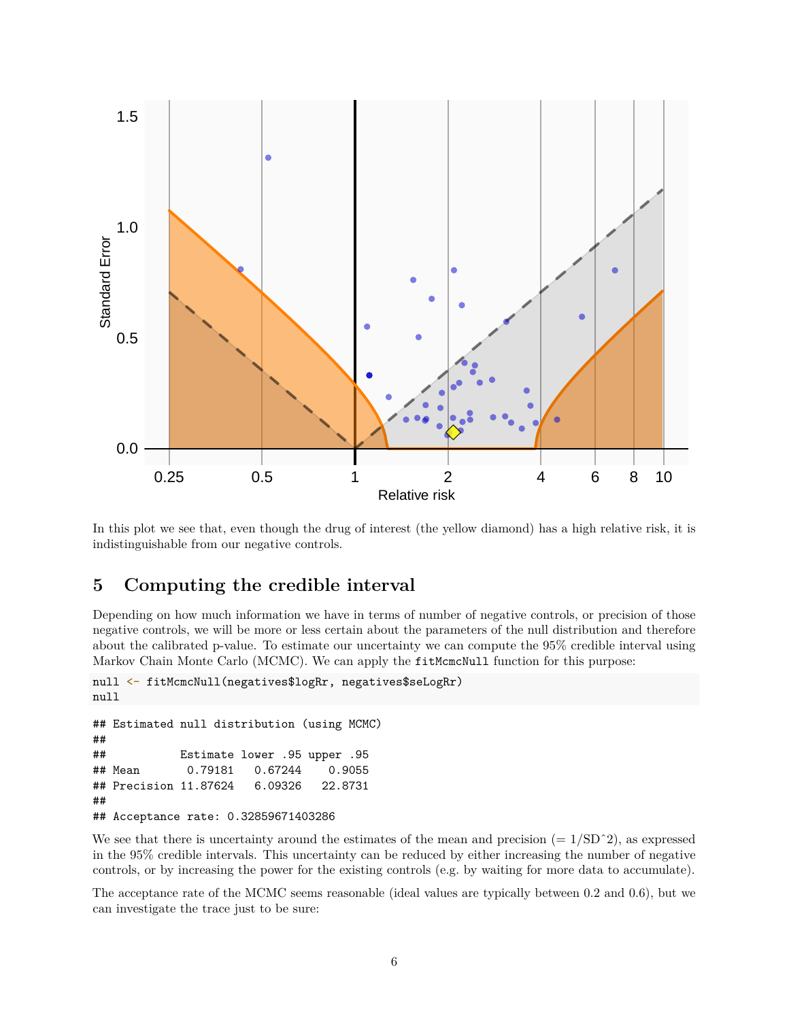

In this plot we see that, even though the drug of interest (the yellow diamond) has a high relative risk, it is indistinguishable from our negative controls.

## <span id="page-5-0"></span>**5 Computing the credible interval**

Depending on how much information we have in terms of number of negative controls, or precision of those negative controls, we will be more or less certain about the parameters of the null distribution and therefore about the calibrated p-value. To estimate our uncertainty we can compute the 95% credible interval using Markov Chain Monte Carlo (MCMC). We can apply the fitMcmcNull function for this purpose:

```
null <- fitMcmcNull(negatives$logRr, negatives$seLogRr)
null
## Estimated null distribution (using MCMC)
##
## Estimate lower .95 upper .95
## Mean 0.79181 0.67244 0.9055
## Precision 11.87624 6.09326 22.8731
```
## Acceptance rate: 0.32859671403286

##

We see that there is uncertainty around the estimates of the mean and precision  $(= 1/SD^2)$ , as expressed in the 95% credible intervals. This uncertainty can be reduced by either increasing the number of negative controls, or by increasing the power for the existing controls (e.g. by waiting for more data to accumulate).

The acceptance rate of the MCMC seems reasonable (ideal values are typically between 0.2 and 0.6), but we can investigate the trace just to be sure: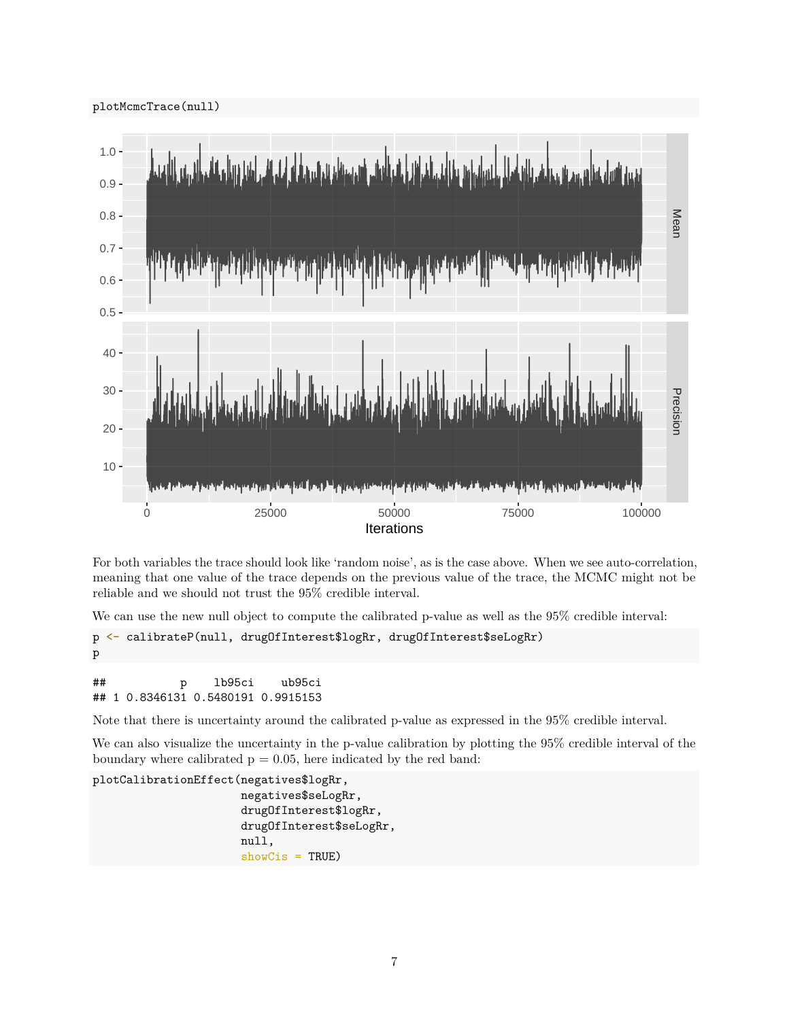

For both variables the trace should look like 'random noise', as is the case above. When we see auto-correlation, meaning that one value of the trace depends on the previous value of the trace, the MCMC might not be reliable and we should not trust the 95% credible interval.

We can use the new null object to compute the calibrated p-value as well as the 95% credible interval:

```
p <- calibrateP(null, drugOfInterest$logRr, drugOfInterest$seLogRr)
p
```

```
## p lb95ci ub95ci
## 1 0.8346131 0.5480191 0.9915153
```
Note that there is uncertainty around the calibrated p-value as expressed in the 95% credible interval.

We can also visualize the uncertainty in the p-value calibration by plotting the 95% credible interval of the boundary where calibrated  $p = 0.05$ , here indicated by the red band:

```
plotCalibrationEffect(negatives$logRr,
                      negatives$seLogRr,
                      drugOfInterest$logRr,
                      drugOfInterest$seLogRr,
                      null,
                      showCis = TRUE)
```